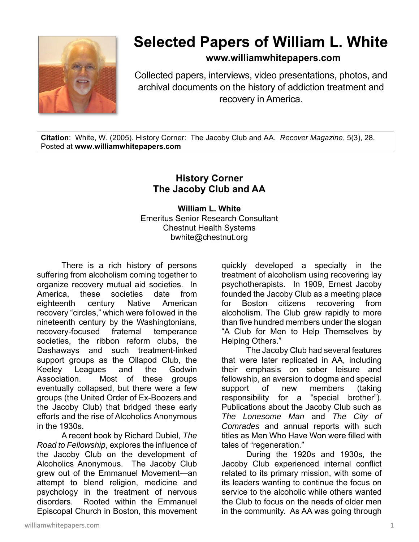

## **Selected Papers of William L. White**

**www.williamwhitepapers.com**

Collected papers, interviews, video presentations, photos, and archival documents on the history of addiction treatment and recovery in America.

**Citation**: White, W. (2005). History Corner: The Jacoby Club and AA. *Recover Magazine*, 5(3), 28. Posted at **www.williamwhitepapers.com** 

## **History Corner The Jacoby Club and AA**

**William L. White**  Emeritus Senior Research Consultant Chestnut Health Systems bwhite@chestnut.org

There is a rich history of persons suffering from alcoholism coming together to organize recovery mutual aid societies. In America, these societies date from eighteenth century Native American recovery "circles," which were followed in the nineteenth century by the Washingtonians, recovery-focused fraternal temperance societies, the ribbon reform clubs, the Dashaways and such treatment-linked support groups as the Ollapod Club, the Keeley Leagues and the Godwin Association. Most of these groups eventually collapsed, but there were a few groups (the United Order of Ex-Boozers and the Jacoby Club) that bridged these early efforts and the rise of Alcoholics Anonymous in the 1930s.

 A recent book by Richard Dubiel, *The Road to Fellowship*, explores the influence of the Jacoby Club on the development of Alcoholics Anonymous. The Jacoby Club grew out of the Emmanuel Movement—an attempt to blend religion, medicine and psychology in the treatment of nervous disorders. Rooted within the Emmanuel Episcopal Church in Boston, this movement

quickly developed a specialty in the treatment of alcoholism using recovering lay psychotherapists. In 1909, Ernest Jacoby founded the Jacoby Club as a meeting place for Boston citizens recovering from alcoholism. The Club grew rapidly to more than five hundred members under the slogan "A Club for Men to Help Themselves by Helping Others."

 The Jacoby Club had several features that were later replicated in AA, including their emphasis on sober leisure and fellowship, an aversion to dogma and special support of new members (taking responsibility for a "special brother"). Publications about the Jacoby Club such as *The Lonesome Man* and *The City of Comrades* and annual reports with such titles as Men Who Have Won were filled with tales of "regeneration."

 During the 1920s and 1930s, the Jacoby Club experienced internal conflict related to its primary mission, with some of its leaders wanting to continue the focus on service to the alcoholic while others wanted the Club to focus on the needs of older men in the community. As AA was going through